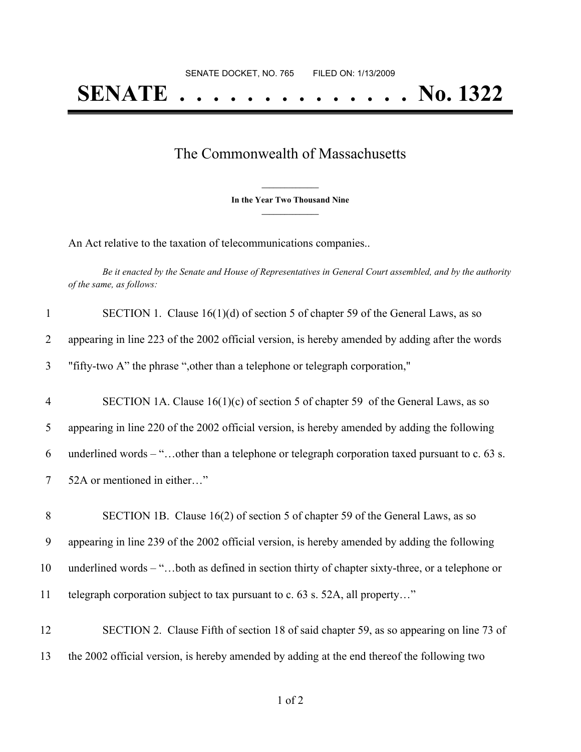## The Commonwealth of Massachusetts

**\_\_\_\_\_\_\_\_\_\_\_\_\_\_\_ In the Year Two Thousand Nine \_\_\_\_\_\_\_\_\_\_\_\_\_\_\_**

An Act relative to the taxation of telecommunications companies..

Be it enacted by the Senate and House of Representatives in General Court assembled, and by the authority *of the same, as follows:*

| $\mathbf{1}$   | SECTION 1. Clause $16(1)(d)$ of section 5 of chapter 59 of the General Laws, as so               |
|----------------|--------------------------------------------------------------------------------------------------|
| $\overline{2}$ | appearing in line 223 of the 2002 official version, is hereby amended by adding after the words  |
| 3              | "fifty-two A" the phrase ", other than a telephone or telegraph corporation,"                    |
| $\overline{4}$ | SECTION 1A. Clause $16(1)(c)$ of section 5 of chapter 59 of the General Laws, as so              |
| 5              | appearing in line 220 of the 2002 official version, is hereby amended by adding the following    |
| 6              | underlined words $-$ "other than a telephone or telegraph corporation taxed pursuant to c. 63 s. |
| $\tau$         | 52A or mentioned in either"                                                                      |
| $\, 8$         | SECTION 1B. Clause 16(2) of section 5 of chapter 59 of the General Laws, as so                   |
| 9              | appearing in line 239 of the 2002 official version, is hereby amended by adding the following    |
| 10             | underlined words – "both as defined in section thirty of chapter sixty-three, or a telephone or  |
| 11             | telegraph corporation subject to tax pursuant to c. 63 s. 52A, all property"                     |
| 12             | SECTION 2. Clause Fifth of section 18 of said chapter 59, as so appearing on line 73 of          |
| 13             | the 2002 official version, is hereby amended by adding at the end thereof the following two      |